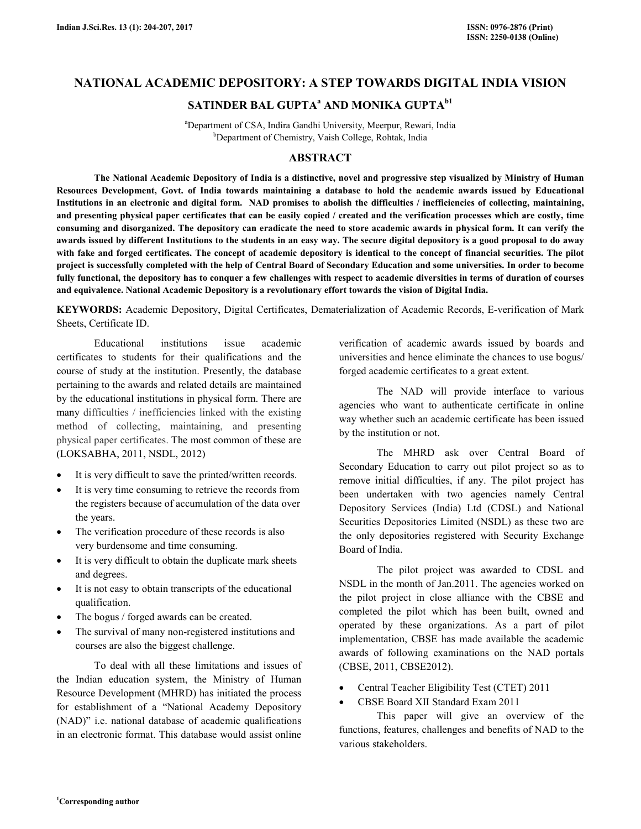## **NATIONAL ACADEMIC DEPOSITORY: A STEP TOWARDS DIGITAL INDIA VISION**

## **SATINDER BAL GUPTA<sup>a</sup> AND MONIKA GUPTAb1**

<sup>a</sup>Department of CSA, Indira Gandhi University, Meerpur, Rewari, India <sup>b</sup>Department of Chemistry, Vaish College, Rohtak, India

### **ABSTRACT**

 **The National Academic Depository of India is a distinctive, novel and progressive step visualized by Ministry of Human Resources Development, Govt. of India towards maintaining a database to hold the academic awards issued by Educational Institutions in an electronic and digital form. NAD promises to abolish the difficulties / inefficiencies of collecting, maintaining, and presenting physical paper certificates that can be easily copied / created and the verification processes which are costly, time consuming and disorganized. The depository can eradicate the need to store academic awards in physical form. It can verify the awards issued by different Institutions to the students in an easy way. The secure digital depository is a good proposal to do away with fake and forged certificates. The concept of academic depository is identical to the concept of financial securities. The pilot project is successfully completed with the help of Central Board of Secondary Education and some universities. In order to become fully functional, the depository has to conquer a few challenges with respect to academic diversities in terms of duration of courses and equivalence. National Academic Depository is a revolutionary effort towards the vision of Digital India.** 

**KEYWORDS:** Academic Depository, Digital Certificates, Dematerialization of Academic Records, E-verification of Mark Sheets, Certificate ID.

 Educational institutions issue academic certificates to students for their qualifications and the course of study at the institution. Presently, the database pertaining to the awards and related details are maintained by the educational institutions in physical form. There are many difficulties / inefficiencies linked with the existing method of collecting, maintaining, and presenting physical paper certificates. The most common of these are (LOKSABHA, 2011, NSDL, 2012)

- It is very difficult to save the printed/written records.
- It is very time consuming to retrieve the records from the registers because of accumulation of the data over the years.
- The verification procedure of these records is also very burdensome and time consuming.
- It is very difficult to obtain the duplicate mark sheets and degrees.
- It is not easy to obtain transcripts of the educational qualification.
- The bogus / forged awards can be created.
- The survival of many non-registered institutions and courses are also the biggest challenge.

 To deal with all these limitations and issues of the Indian education system, the Ministry of Human Resource Development (MHRD) has initiated the process for establishment of a "National Academy Depository (NAD)" i.e. national database of academic qualifications in an electronic format. This database would assist online

verification of academic awards issued by boards and universities and hence eliminate the chances to use bogus/ forged academic certificates to a great extent.

 The NAD will provide interface to various agencies who want to authenticate certificate in online way whether such an academic certificate has been issued by the institution or not.

 The MHRD ask over Central Board of Secondary Education to carry out pilot project so as to remove initial difficulties, if any. The pilot project has been undertaken with two agencies namely Central Depository Services (India) Ltd (CDSL) and National Securities Depositories Limited (NSDL) as these two are the only depositories registered with Security Exchange Board of India.

 The pilot project was awarded to CDSL and NSDL in the month of Jan.2011. The agencies worked on the pilot project in close alliance with the CBSE and completed the pilot which has been built, owned and operated by these organizations. As a part of pilot implementation, CBSE has made available the academic awards of following examinations on the NAD portals (CBSE, 2011, CBSE2012).

- Central Teacher Eligibility Test (CTET) 2011
- CBSE Board XII Standard Exam 2011

 This paper will give an overview of the functions, features, challenges and benefits of NAD to the various stakeholders.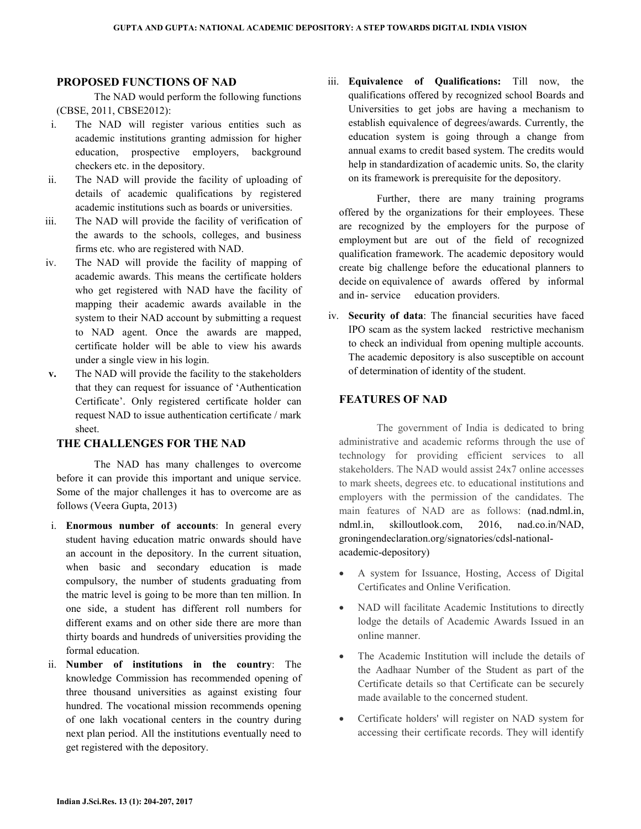#### **PROPOSED FUNCTIONS OF NAD**

 The NAD would perform the following functions (CBSE, 2011, CBSE2012):

- i. The NAD will register various entities such as academic institutions granting admission for higher education, prospective employers, background checkers etc. in the depository.
- ii. The NAD will provide the facility of uploading of details of academic qualifications by registered academic institutions such as boards or universities.
- iii. The NAD will provide the facility of verification of the awards to the schools, colleges, and business firms etc. who are registered with NAD.
- iv. The NAD will provide the facility of mapping of academic awards. This means the certificate holders who get registered with NAD have the facility of mapping their academic awards available in the system to their NAD account by submitting a request to NAD agent. Once the awards are mapped, certificate holder will be able to view his awards under a single view in his login.
- **v.** The NAD will provide the facility to the stakeholders that they can request for issuance of 'Authentication Certificate'. Only registered certificate holder can request NAD to issue authentication certificate / mark sheet.

### **THE CHALLENGES FOR THE NAD**

 The NAD has many challenges to overcome before it can provide this important and unique service. Some of the major challenges it has to overcome are as follows (Veera Gupta, 2013)

- i. **Enormous number of accounts**: In general every student having education matric onwards should have an account in the depository. In the current situation, when basic and secondary education is made compulsory, the number of students graduating from the matric level is going to be more than ten million. In one side, a student has different roll numbers for different exams and on other side there are more than thirty boards and hundreds of universities providing the formal education.
- ii. **Number of institutions in the country**: The knowledge Commission has recommended opening of three thousand universities as against existing four hundred. The vocational mission recommends opening of one lakh vocational centers in the country during next plan period. All the institutions eventually need to get registered with the depository.

iii. **Equivalence of Qualifications:** Till now, the qualifications offered by recognized school Boards and Universities to get jobs are having a mechanism to establish equivalence of degrees/awards. Currently, the education system is going through a change from annual exams to credit based system. The credits would help in standardization of academic units. So, the clarity on its framework is prerequisite for the depository.

 Further, there are many training programs offered by the organizations for their employees. These are recognized by the employers for the purpose of employment but are out of the field of recognized qualification framework. The academic depository would create big challenge before the educational planners to decide on equivalence of awards offered by informal and in- service education providers.

iv. **Security of data**: The financial securities have faced IPO scam as the system lacked restrictive mechanism to check an individual from opening multiple accounts. The academic depository is also susceptible on account of determination of identity of the student.

### **FEATURES OF NAD**

 The government of India is dedicated to bring administrative and academic reforms through the use of technology for providing efficient services to all stakeholders. The NAD would assist 24x7 online accesses to mark sheets, degrees etc. to educational institutions and employers with the permission of the candidates. The main features of NAD are as follows: (nad.ndml.in, ndml.in, skilloutlook.com, 2016, nad.co.in/NAD, groningendeclaration.org/signatories/cdsl-nationalacademic-depository)

- A system for Issuance, Hosting, Access of Digital Certificates and Online Verification.
- NAD will facilitate Academic Institutions to directly lodge the details of Academic Awards Issued in an online manner.
- The Academic Institution will include the details of the Aadhaar Number of the Student as part of the Certificate details so that Certificate can be securely made available to the concerned student.
- Certificate holders' will register on NAD system for accessing their certificate records. They will identify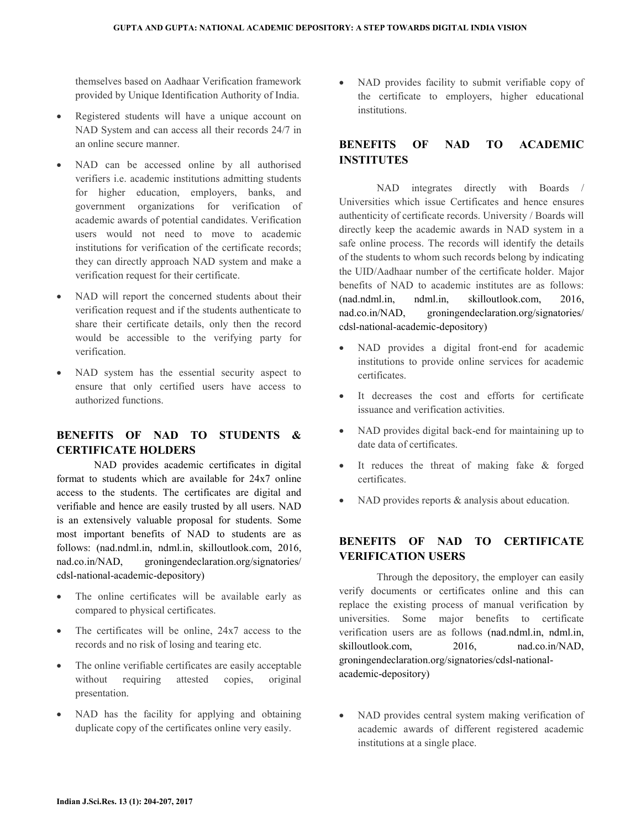themselves based on Aadhaar Verification framework provided by Unique Identification Authority of India.

- Registered students will have a unique account on NAD System and can access all their records 24/7 in an online secure manner.
- NAD can be accessed online by all authorised verifiers i.e. academic institutions admitting students for higher education, employers, banks, and government organizations for verification of academic awards of potential candidates. Verification users would not need to move to academic institutions for verification of the certificate records; they can directly approach NAD system and make a verification request for their certificate.
- NAD will report the concerned students about their verification request and if the students authenticate to share their certificate details, only then the record would be accessible to the verifying party for verification.
- NAD system has the essential security aspect to ensure that only certified users have access to authorized functions.

### **BENEFITS OF NAD TO STUDENTS & CERTIFICATE HOLDERS**

 NAD provides academic certificates in digital format to students which are available for 24x7 online access to the students. The certificates are digital and verifiable and hence are easily trusted by all users. NAD is an extensively valuable proposal for students. Some most important benefits of NAD to students are as follows: (nad.ndml.in, ndml.in, skilloutlook.com, 2016, nad.co.in/NAD, groningendeclaration.org/signatories/ cdsl-national-academic-depository)

- The online certificates will be available early as compared to physical certificates.
- The certificates will be online,  $24x7$  access to the records and no risk of losing and tearing etc.
- The online verifiable certificates are easily acceptable without requiring attested copies, original presentation.
- NAD has the facility for applying and obtaining duplicate copy of the certificates online very easily.

• NAD provides facility to submit verifiable copy of the certificate to employers, higher educational institutions.

# **BENEFITS OF NAD TO ACADEMIC INSTITUTES**

 NAD integrates directly with Boards / Universities which issue Certificates and hence ensures authenticity of certificate records. University / Boards will directly keep the academic awards in NAD system in a safe online process. The records will identify the details of the students to whom such records belong by indicating the UID/Aadhaar number of the certificate holder. Major benefits of NAD to academic institutes are as follows: (nad.ndml.in, ndml.in, skilloutlook.com, 2016, nad.co.in/NAD, groningendeclaration.org/signatories/ cdsl-national-academic-depository)

- NAD provides a digital front-end for academic institutions to provide online services for academic certificates.
- It decreases the cost and efforts for certificate issuance and verification activities.
- NAD provides digital back-end for maintaining up to date data of certificates.
- It reduces the threat of making fake & forged certificates.
- NAD provides reports & analysis about education.

# **BENEFITS OF NAD TO CERTIFICATE VERIFICATION USERS**

 Through the depository, the employer can easily verify documents or certificates online and this can replace the existing process of manual verification by universities. Some major benefits to certificate verification users are as follows (nad.ndml.in, ndml.in, skilloutlook.com, 2016, nad.co.in/NAD, groningendeclaration.org/signatories/cdsl-nationalacademic-depository)

• NAD provides central system making verification of academic awards of different registered academic institutions at a single place.